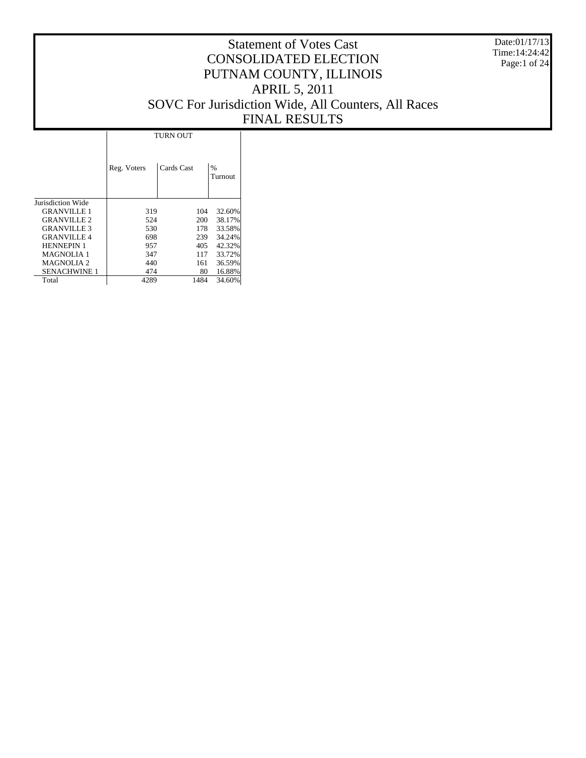Date:01/17/13 Time:14:24:42 Page:1 of 24

|                     |             | TURN OUT   |                          |
|---------------------|-------------|------------|--------------------------|
|                     | Reg. Voters | Cards Cast | $\frac{0}{0}$<br>Turnout |
| Jurisdiction Wide   |             |            |                          |
| <b>GRANVILLE 1</b>  | 319         | 104        | 32.60%                   |
| <b>GRANVILLE 2</b>  | 524         | 200        | 38.17%                   |
| <b>GRANVILLE 3</b>  | 530         | 178        | 33.58%                   |
| <b>GRANVILLE 4</b>  | 698         | 239        | 34.24%                   |
| <b>HENNEPIN 1</b>   | 957         | 405        | 42.32%                   |
| <b>MAGNOLIA 1</b>   | 347         | 117        | 33.72%                   |
| MAGNOLIA 2          | 440         | 161        | 36.59%                   |
| <b>SENACHWINE 1</b> | 474         | 80         | 16.88%                   |
| Total               | 4289        | 1484       | 34.60%                   |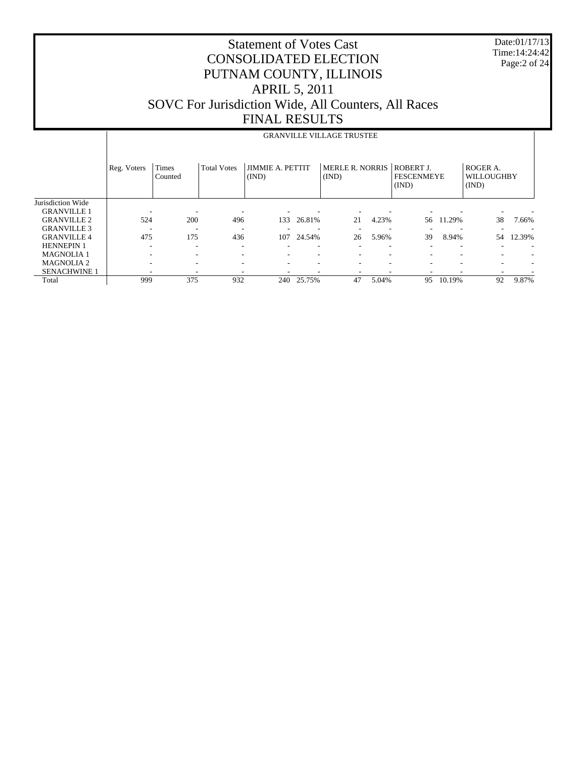| <b>Statement of Votes Cast</b>                      |
|-----------------------------------------------------|
| <b>CONSOLIDATED ELECTION</b>                        |
| PUTNAM COUNTY, ILLINOIS                             |
| <b>APRIL 5, 2011</b>                                |
| SOVC For Jurisdiction Wide, All Counters, All Races |
| <b>FINAL RESULTS</b>                                |

Date:01/17/13 Time:14:24:42 Page:2 of 24

|                     |             |                  |                    |                                  |        | <b>GRANVILLE VILLAGE TRUSTEE</b> |       |                                         |        |                                 |        |
|---------------------|-------------|------------------|--------------------|----------------------------------|--------|----------------------------------|-------|-----------------------------------------|--------|---------------------------------|--------|
|                     | Reg. Voters | Times<br>Counted | <b>Total Votes</b> | <b>JIMMIE A. PETTIT</b><br>(IND) |        | <b>MERLE R. NORRIS</b><br>(IND)  |       | ROBERT J.<br><b>FESCENMEYE</b><br>(IND) |        | ROGER A.<br>WILLOUGHBY<br>(IND) |        |
| Jurisdiction Wide   |             |                  |                    |                                  |        |                                  |       |                                         |        |                                 |        |
| <b>GRANVILLE 1</b>  |             |                  |                    |                                  |        |                                  |       |                                         |        |                                 |        |
| <b>GRANVILLE 2</b>  | 524         | 200              | 496                | 133                              | 26.81% | 21                               | 4.23% | 56                                      | 11.29% | 38                              | 7.66%  |
| <b>GRANVILLE 3</b>  |             | ۰.               |                    |                                  |        |                                  |       |                                         |        |                                 |        |
| <b>GRANVILLE 4</b>  | 475         | 175              | 436                | 107                              | 24.54% | 26                               | 5.96% | 39                                      | 8.94%  | 54                              | 12.39% |
| <b>HENNEPIN 1</b>   |             | ٠                |                    |                                  |        |                                  |       |                                         |        |                                 |        |
| <b>MAGNOLIA1</b>    |             | -                |                    |                                  | ٠      | ۰                                |       |                                         |        | $\overline{\phantom{a}}$        |        |
| <b>MAGNOLIA2</b>    |             |                  |                    |                                  |        | ٠                                |       |                                         |        |                                 |        |
| <b>SENACHWINE 1</b> |             |                  |                    |                                  |        |                                  |       |                                         |        |                                 |        |
| Total               | 999         | 375              | 932                | 240                              | 25.75% | 47                               | 5.04% | 95                                      | 10.19% | 92                              | 9.87%  |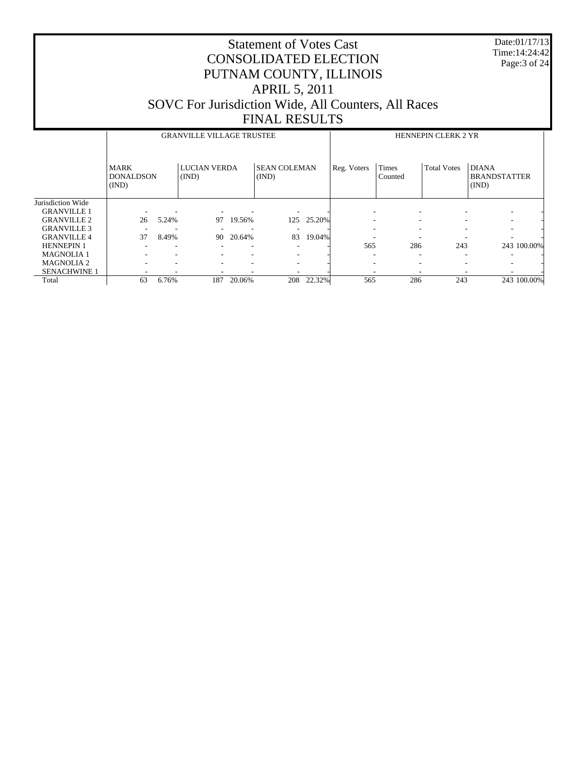Date:01/17/13 Time:14:24:42 Page:3 of 24

|                     |                                          |       | <b>GRANVILLE VILLAGE TRUSTEE</b> |        |                              | <b>HENNEPIN CLERK 2 YR</b> |                          |                          |                    |                                              |
|---------------------|------------------------------------------|-------|----------------------------------|--------|------------------------------|----------------------------|--------------------------|--------------------------|--------------------|----------------------------------------------|
|                     | <b>MARK</b><br><b>DONALDSON</b><br>(IND) |       | <b>LUCIAN VERDA</b><br>(IND)     |        | <b>SEAN COLEMAN</b><br>(IND) |                            | Reg. Voters              | <b>Times</b><br>Counted  | <b>Total Votes</b> | <b>DIANA</b><br><b>BRANDSTATTER</b><br>(IND) |
| Jurisdiction Wide   |                                          |       |                                  |        |                              |                            |                          |                          |                    |                                              |
| <b>GRANVILLE 1</b>  |                                          |       |                                  |        |                              |                            |                          | ٠                        |                    | $\overline{\phantom{a}}$                     |
| <b>GRANVILLE 2</b>  | 26                                       | 5.24% | 97                               | 19.56% | 125                          | 25.20%                     | $\overline{\phantom{a}}$ | $\overline{\phantom{a}}$ |                    | $\overline{\phantom{a}}$                     |
| <b>GRANVILLE 3</b>  |                                          |       |                                  |        |                              |                            |                          | $\overline{\phantom{a}}$ |                    | $\overline{\phantom{a}}$                     |
| <b>GRANVILLE 4</b>  | 37                                       | 8.49% | 90                               | 20.64% | 83                           | 19.04%                     |                          |                          |                    |                                              |
| <b>HENNEPIN 1</b>   |                                          |       |                                  |        |                              |                            | 565                      | 286                      | 243                | 243 100.00%                                  |
| <b>MAGNOLIA1</b>    |                                          |       |                                  |        |                              |                            |                          | $\overline{\phantom{a}}$ |                    |                                              |
| <b>MAGNOLIA 2</b>   |                                          |       | $\overline{\phantom{a}}$         |        | $\overline{\phantom{a}}$     |                            |                          | $\overline{\phantom{a}}$ |                    | -                                            |
| <b>SENACHWINE 1</b> |                                          |       |                                  |        |                              |                            |                          |                          |                    |                                              |
| Total               | 63                                       | 6.76% | 187                              | 20.06% | 208                          | 22.32%                     | 565                      | 286                      | 243                | 243 100.00%                                  |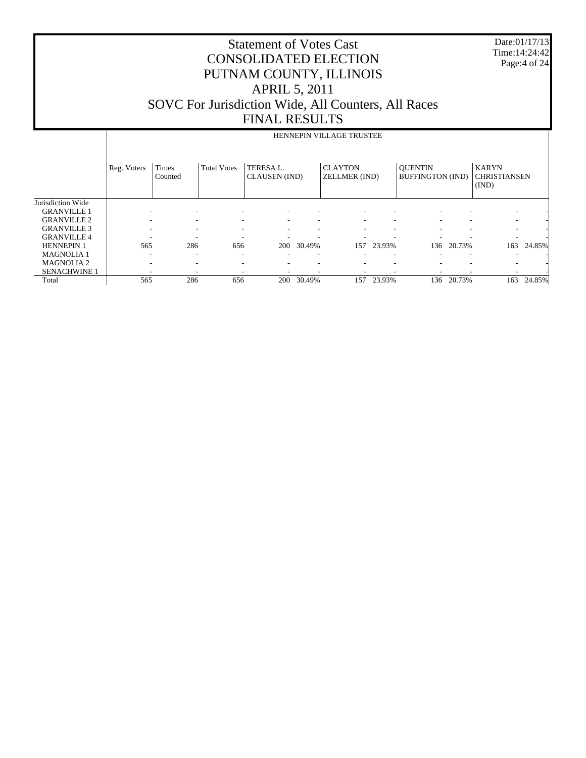Date:01/17/13 Time:14:24:42 Page:4 of 24

|                     |             |                  |                    |                                   |        | HENNEPIN VILLAGE TRUSTEE        |        |                                           |        |                                              |        |
|---------------------|-------------|------------------|--------------------|-----------------------------------|--------|---------------------------------|--------|-------------------------------------------|--------|----------------------------------------------|--------|
|                     | Reg. Voters | Times<br>Counted | <b>Total Votes</b> | TERESA L.<br><b>CLAUSEN</b> (IND) |        | <b>CLAYTON</b><br>ZELLMER (IND) |        | <b>OUENTIN</b><br><b>BUFFINGTON (IND)</b> |        | <b>KARYN</b><br><b>CHRISTIANSEN</b><br>(IND) |        |
| Jurisdiction Wide   |             |                  |                    |                                   |        |                                 |        |                                           |        |                                              |        |
| <b>GRANVILLE 1</b>  |             |                  | ۰                  |                                   |        |                                 | ۰      |                                           |        |                                              |        |
| <b>GRANVILLE 2</b>  | ۰           | ۰                | ۰                  | $\overline{\phantom{a}}$          | ٠      | ۰                               | -      | $\overline{\phantom{a}}$                  |        |                                              |        |
| <b>GRANVILLE 3</b>  |             |                  | ٠                  |                                   |        |                                 | -      |                                           |        |                                              |        |
| <b>GRANVILLE 4</b>  |             |                  | ٠                  |                                   |        |                                 |        |                                           |        |                                              |        |
| <b>HENNEPIN 1</b>   | 565         | 286              | 656                | 200                               | 30.49% | 157                             | 23.93% | 136                                       | 20.73% | 163                                          | 24.85% |
| <b>MAGNOLIA1</b>    | ٠           | ۰                | ٠                  |                                   |        |                                 | ٠      |                                           |        |                                              |        |
| <b>MAGNOLIA2</b>    | ٠           |                  | ٠                  |                                   |        |                                 | ٠      |                                           |        |                                              |        |
| <b>SENACHWINE 1</b> |             |                  | ۰                  |                                   |        |                                 | -      |                                           |        |                                              |        |
| Total               | 565         | 286              | 656                | 200                               | 30.49% | 157                             | 23.93% | 136                                       | 20.73% | 163                                          | 24.85% |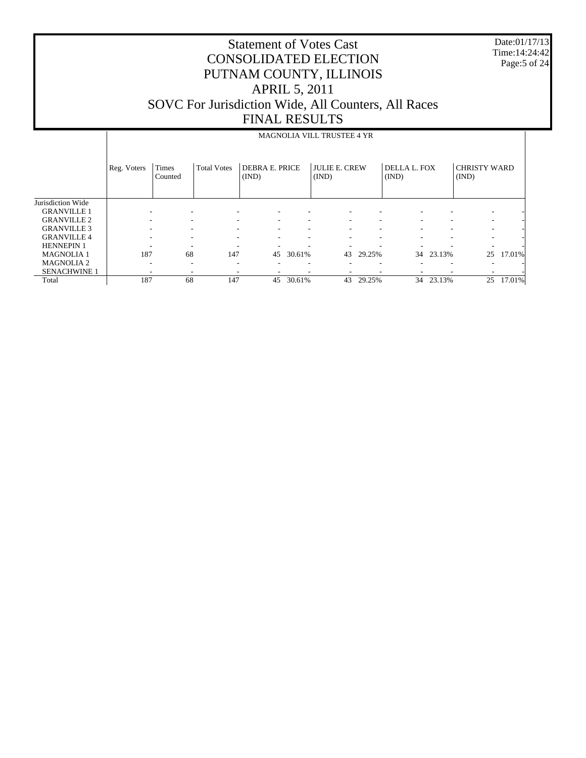Date:01/17/13 Time:14:24:42 Page:5 of 24

|                     |             |                         |                          |                                |        | <b>MAGNOLIA VILL TRUSTEE 4 YR</b> |        |                       |        |                              |        |
|---------------------|-------------|-------------------------|--------------------------|--------------------------------|--------|-----------------------------------|--------|-----------------------|--------|------------------------------|--------|
|                     | Reg. Voters | <b>Times</b><br>Counted | <b>Total Votes</b>       | <b>DEBRA E. PRICE</b><br>(IND) |        | <b>JULIE E. CREW</b><br>(IND)     |        | DELLA L. FOX<br>(IND) |        | <b>CHRISTY WARD</b><br>(IND) |        |
| Jurisdiction Wide   |             |                         |                          |                                |        |                                   |        |                       |        |                              |        |
| <b>GRANVILLE 1</b>  |             |                         |                          |                                |        |                                   |        |                       |        |                              |        |
| <b>GRANVILLE 2</b>  |             |                         |                          |                                |        |                                   |        |                       |        |                              |        |
| <b>GRANVILLE 3</b>  |             |                         |                          |                                |        |                                   |        |                       |        |                              |        |
| <b>GRANVILLE 4</b>  |             |                         |                          |                                |        |                                   | ٠      |                       |        |                              |        |
| <b>HENNEPIN 1</b>   |             |                         |                          |                                |        |                                   |        |                       |        |                              |        |
| <b>MAGNOLIA1</b>    | 187         | 68                      | 147                      | 45                             | 30.61% | 43                                | 29.25% | 34                    | 23.13% | 25                           | 17.01% |
| <b>MAGNOLIA2</b>    |             |                         | $\overline{\phantom{a}}$ |                                |        |                                   | ٠      |                       |        | $\overline{\phantom{a}}$     |        |
| <b>SENACHWINE 1</b> |             |                         |                          |                                |        |                                   | ۰      |                       |        |                              |        |
| Total               | 187         | 68                      | 147                      | 45                             | 30.61% | 43                                | 29.25% | 34                    | 23.13% | 25                           | 17.01% |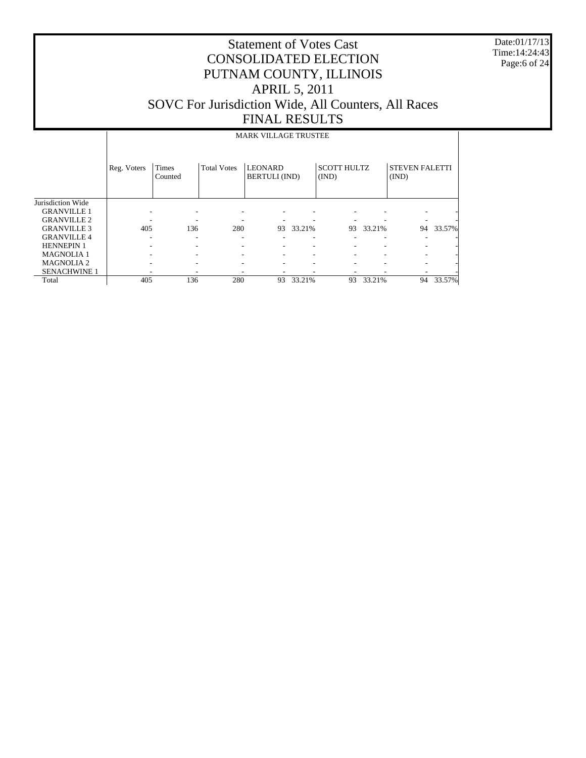Date:01/17/13 Time:14:24:43 Page:6 of 24

|                     |             |                         |                    | <b>MARK VILLAGE TRUSTEE</b>            |        |                             |           |                                |           |
|---------------------|-------------|-------------------------|--------------------|----------------------------------------|--------|-----------------------------|-----------|--------------------------------|-----------|
|                     | Reg. Voters | <b>Times</b><br>Counted | <b>Total Votes</b> | <b>LEONARD</b><br><b>BERTULI</b> (IND) |        | <b>SCOTT HULTZ</b><br>(IND) |           | <b>STEVEN FALETTI</b><br>(IND) |           |
| Jurisdiction Wide   |             |                         |                    |                                        |        |                             |           |                                |           |
| <b>GRANVILLE 1</b>  |             |                         |                    |                                        |        |                             |           |                                |           |
| <b>GRANVILLE 2</b>  |             |                         |                    |                                        |        |                             |           |                                |           |
| <b>GRANVILLE 3</b>  | 405         | 136                     | 280                | 93                                     | 33.21% |                             | 93 33.21% |                                | 94 33.57% |
| <b>GRANVILLE4</b>   |             | ۰                       |                    |                                        |        |                             |           |                                |           |
| <b>HENNEPIN 1</b>   |             |                         |                    |                                        |        |                             |           |                                |           |
| <b>MAGNOLIA 1</b>   |             |                         |                    |                                        |        |                             |           |                                |           |
| <b>MAGNOLIA2</b>    |             | ۰                       | ۰                  | ۰                                      |        |                             |           | ۰                              |           |
| <b>SENACHWINE 1</b> |             |                         |                    |                                        |        |                             |           |                                |           |
| Total               | 405         | 136                     | 280                | 93                                     | 33.21% | 93                          | 33.21%    | 94                             | 33.57%    |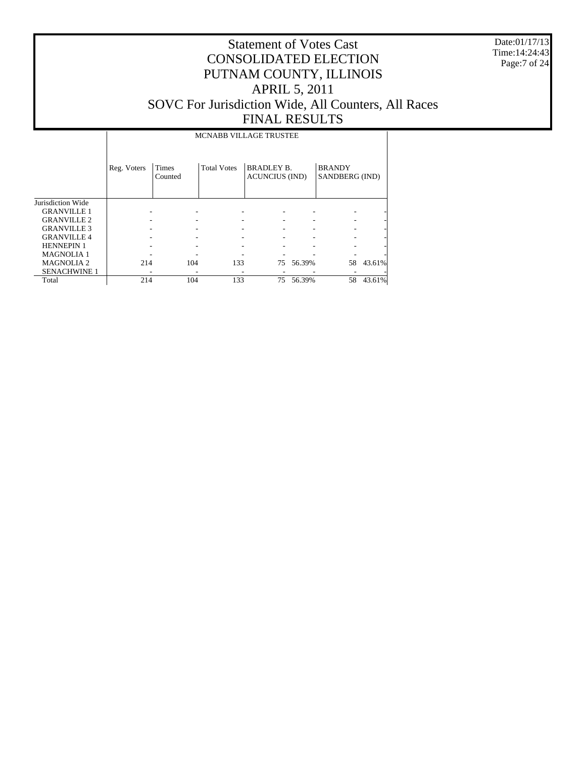Date:01/17/13 Time:14:24:43 Page:7 of 24

|                     |             |                  | <b>MCNABB VILLAGE TRUSTEE</b> |                                            |        |                                 |                |
|---------------------|-------------|------------------|-------------------------------|--------------------------------------------|--------|---------------------------------|----------------|
|                     | Reg. Voters | Times<br>Counted | <b>Total Votes</b>            | <b>BRADLEY B.</b><br><b>ACUNCIUS (IND)</b> |        | <b>BRANDY</b><br>SANDBERG (IND) |                |
| Jurisdiction Wide   |             |                  |                               |                                            |        |                                 |                |
| <b>GRANVILLE 1</b>  |             |                  |                               |                                            |        |                                 |                |
| <b>GRANVILLE 2</b>  |             |                  |                               |                                            |        |                                 |                |
| <b>GRANVILLE 3</b>  |             |                  |                               |                                            |        |                                 |                |
| <b>GRANVILLE 4</b>  |             |                  |                               |                                            |        |                                 | $\overline{a}$ |
| <b>HENNEPIN 1</b>   |             |                  |                               |                                            |        |                                 |                |
| <b>MAGNOLIA1</b>    |             |                  |                               |                                            |        |                                 |                |
| <b>MAGNOLIA2</b>    | 214         | 104              | 133                           | 75                                         | 56.39% |                                 | 58 43.61%      |
| <b>SENACHWINE 1</b> |             |                  |                               |                                            |        |                                 |                |
| Total               | 214         | 104              | 133                           | 75                                         | 56.39% | 58                              | 43.61%         |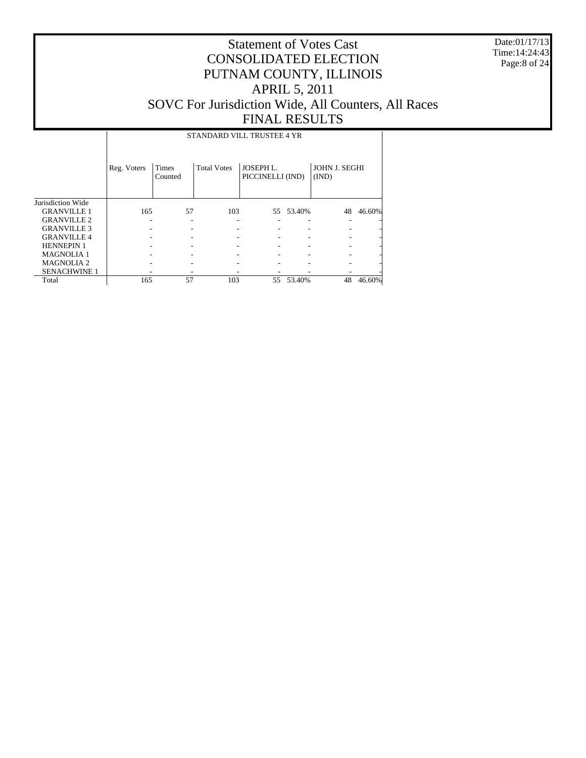Date:01/17/13 Time:14:24:43 Page:8 of 24

# Statement of Votes Cast CONSOLIDATED ELECTION PUTNAM COUNTY, ILLINOIS APRIL 5, 2011 SOVC For Jurisdiction Wide, All Counters, All Races FINAL RESULTS

STANDARD VILL TRUSTEE 4 YR

|                     | Reg. Voters | <b>Times</b><br>Counted | <b>Total Votes</b> | JOSEPH L.<br>PICCINELLI (IND) |           | <b>JOHN J. SEGHI</b><br>(IND) |        |
|---------------------|-------------|-------------------------|--------------------|-------------------------------|-----------|-------------------------------|--------|
| Jurisdiction Wide   |             |                         |                    |                               |           |                               |        |
| <b>GRANVILLE 1</b>  | 165         | 57                      | 103                |                               | 55 53.40% | 48                            | 46.60% |
| <b>GRANVILLE 2</b>  |             |                         |                    |                               |           |                               |        |
| <b>GRANVILLE 3</b>  |             |                         |                    |                               |           |                               |        |
| <b>GRANVILLE 4</b>  |             |                         |                    |                               |           |                               |        |
| <b>HENNEPIN 1</b>   |             |                         |                    |                               |           |                               |        |
| <b>MAGNOLIA1</b>    |             |                         |                    |                               |           |                               |        |
| <b>MAGNOLIA 2</b>   |             |                         |                    |                               |           |                               |        |
| <b>SENACHWINE 1</b> |             |                         |                    |                               |           |                               |        |
| Total               | 165         | 57                      | 103                | 55                            | 53.40%    | 48                            | 46.60% |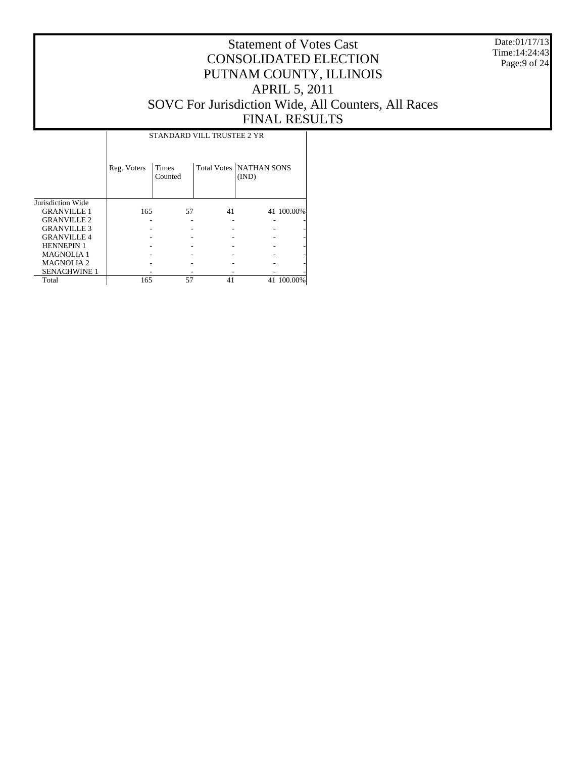Date:01/17/13 Time:14:24:43 Page:9 of 24

# Statement of Votes Cast CONSOLIDATED ELECTION PUTNAM COUNTY, ILLINOIS APRIL 5, 2011 SOVC For Jurisdiction Wide, All Counters, All Races FINAL RESULTS

Τ

|                     |             | STANDARD VILL TRUSTEE 2 YR |    |                                           |            |
|---------------------|-------------|----------------------------|----|-------------------------------------------|------------|
|                     | Reg. Voters | Times<br>Counted           |    | <b>Total Votes   NATHAN SONS</b><br>(IND) |            |
| Jurisdiction Wide   |             |                            |    |                                           |            |
| <b>GRANVILLE 1</b>  | 165         | 57                         | 41 |                                           | 41 100.00% |
| <b>GRANVILLE 2</b>  |             |                            |    |                                           |            |
| <b>GRANVILLE 3</b>  |             |                            |    |                                           |            |
| <b>GRANVILLE 4</b>  |             |                            |    |                                           |            |
| <b>HENNEPIN 1</b>   |             |                            |    |                                           |            |
| <b>MAGNOLIA1</b>    |             |                            |    |                                           |            |
| <b>MAGNOLIA 2</b>   |             |                            |    |                                           |            |
| <b>SENACHWINE 1</b> |             |                            |    |                                           |            |
| Total               | 165         | 57                         | 41 |                                           | 41 100,00% |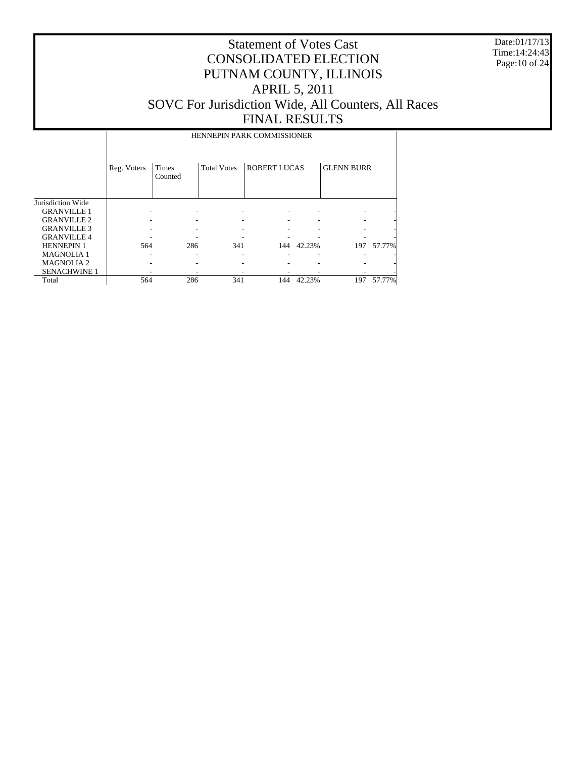Date:01/17/13 Time:14:24:43 Page:10 of 24

#### Statement of Votes Cast CONSOLIDATED ELECTION PUTNAM COUNTY, ILLINOIS APRIL 5, 2011 SOVC For Jurisdiction Wide, All Counters, All Races FINAL RESULTS

HENNEPIN PARK COMMISSIONER

|                     | Reg. Voters | <b>Times</b><br>Counted | <b>Total Votes</b> | <b>ROBERT LUCAS</b> |        | <b>GLENN BURR</b> |        |
|---------------------|-------------|-------------------------|--------------------|---------------------|--------|-------------------|--------|
| Jurisdiction Wide   |             |                         |                    |                     |        |                   |        |
| <b>GRANVILLE 1</b>  |             |                         |                    |                     |        |                   |        |
| <b>GRANVILLE 2</b>  |             |                         |                    |                     |        |                   |        |
| <b>GRANVILLE 3</b>  |             |                         |                    |                     |        |                   |        |
| <b>GRANVILLE 4</b>  |             |                         |                    |                     |        |                   |        |
| <b>HENNEPIN1</b>    | 564         | 286                     | 341                | 144                 | 42.23% | 197               | 57.77% |
| <b>MAGNOLIA1</b>    |             |                         |                    |                     |        |                   |        |
| <b>MAGNOLIA2</b>    |             |                         |                    |                     |        |                   |        |
| <b>SENACHWINE 1</b> |             |                         |                    |                     |        |                   |        |
| Total               | 564         | 286                     | 341                | 144                 | 42.23% | 197               | 57.77% |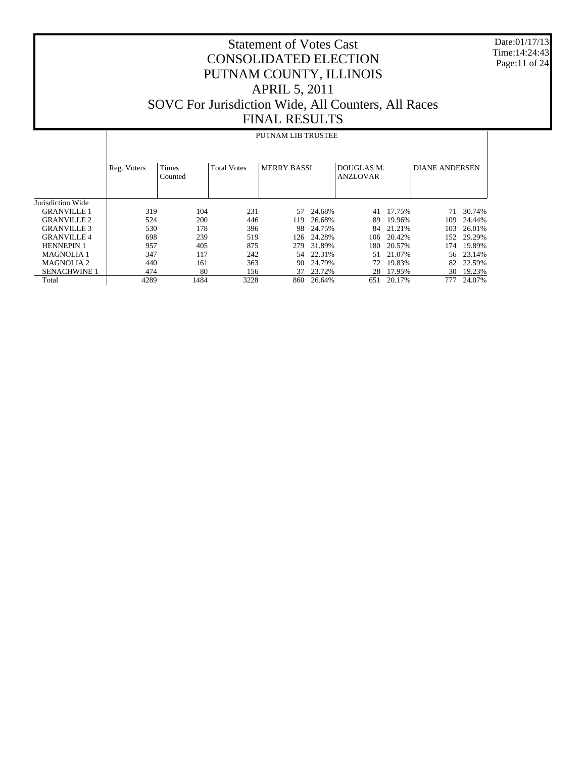Date:01/17/13 Time:14:24:43 Page:11 of 24

# Statement of Votes Cast CONSOLIDATED ELECTION PUTNAM COUNTY, ILLINOIS APRIL 5, 2011 SOVC For Jurisdiction Wide, All Counters, All Races FINAL RESULTS

#### PUTNAM LIB TRUSTEE

|                     | Reg. Voters | <b>Times</b><br>Counted | <b>Total Votes</b> | <b>MERRY BASSI</b> |        | DOUGLAS M.<br><b>ANZLOVAR</b> |        | <b>DIANE ANDERSEN</b> |        |
|---------------------|-------------|-------------------------|--------------------|--------------------|--------|-------------------------------|--------|-----------------------|--------|
| Jurisdiction Wide   |             |                         |                    |                    |        |                               |        |                       |        |
| <b>GRANVILLE 1</b>  | 319         | 104                     | 231                | 57                 | 24.68% | 41                            | 17.75% | 71                    | 30.74% |
| <b>GRANVILLE 2</b>  | 524         | 200                     | 446                | 119                | 26.68% | 89                            | 19.96% | 109                   | 24.44% |
| <b>GRANVILLE 3</b>  | 530         | 178                     | 396                | 98                 | 24.75% | 84                            | 21.21% | 103                   | 26.01% |
| <b>GRANVILLE 4</b>  | 698         | 239                     | 519                | 126                | 24.28% | 106                           | 20.42% | 152                   | 29.29% |
| <b>HENNEPIN 1</b>   | 957         | 405                     | 875                | 279                | 31.89% | 180                           | 20.57% | 174                   | 19.89% |
| <b>MAGNOLIA 1</b>   | 347         | 117                     | 242                | 54                 | 22.31% | 51                            | 21.07% | 56                    | 23.14% |
| <b>MAGNOLIA 2</b>   | 440         | 161                     | 363                | 90                 | 24.79% | 72                            | 19.83% | 82                    | 22.59% |
| <b>SENACHWINE 1</b> | 474         | 80                      | 156                | 37                 | 23.72% | 28                            | 17.95% | 30                    | 19.23% |
| Total               | 4289        | 1484                    | 3228               | 860                | 26.64% | 651                           | 20.17% | 777                   | 24.07% |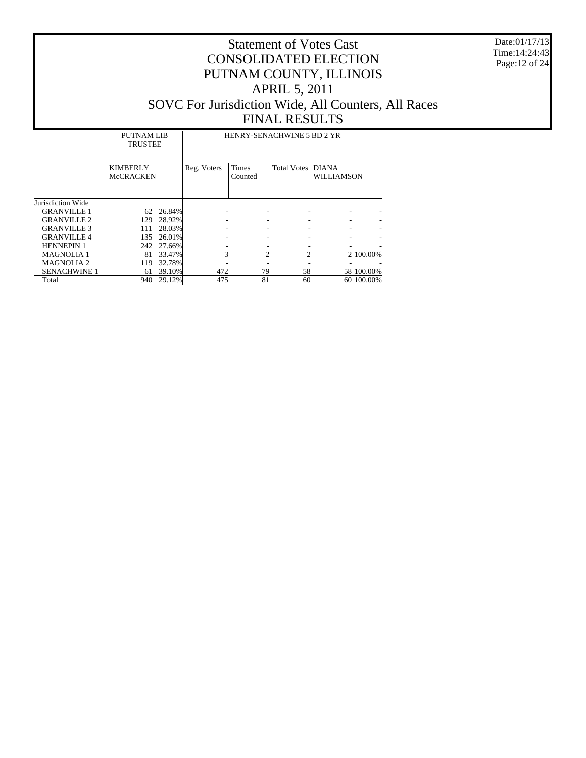Date:01/17/13 Time:14:24:43 Page:12 of 24

|                       | <b>PUTNAM LIB</b><br><b>TRUSTEE</b> |        |             | HENRY-SENACHWINE 5 BD 2 YR |                   |                   |            |  |  |  |  |
|-----------------------|-------------------------------------|--------|-------------|----------------------------|-------------------|-------------------|------------|--|--|--|--|
|                       | <b>KIMBERLY</b><br><b>McCRACKEN</b> |        | Reg. Voters | Times<br>Counted           | Total Votes DIANA | <b>WILLIAMSON</b> |            |  |  |  |  |
| Jurisdiction Wide     |                                     |        |             |                            |                   |                   |            |  |  |  |  |
| <b>GRANVILLE 1</b>    | 62                                  | 26.84% |             |                            |                   |                   |            |  |  |  |  |
| <b>GRANVILLE 2</b>    | 129                                 | 28.92% |             |                            |                   |                   |            |  |  |  |  |
| <b>GRANVILLE 3</b>    | 111                                 | 28.03% |             |                            |                   |                   |            |  |  |  |  |
| <b>GRANVILLE 4</b>    | 135                                 | 26.01% |             |                            |                   |                   |            |  |  |  |  |
| <b>HENNEPIN 1</b>     | 242                                 | 27.66% |             |                            |                   |                   |            |  |  |  |  |
| <b>MAGNOLIA1</b>      | 81                                  | 33.47% | 3           | $\mathfrak{D}$             | 2                 |                   | 2 100.00%  |  |  |  |  |
| MAGNOLIA <sub>2</sub> | 119                                 | 32.78% |             |                            |                   |                   |            |  |  |  |  |
| <b>SENACHWINE 1</b>   | 61                                  | 39.10% | 472         | 79                         | 58                |                   | 58 100.00% |  |  |  |  |
| Total                 | 940                                 | 29.12% | 475         | 81                         | 60                |                   | 60 100.00% |  |  |  |  |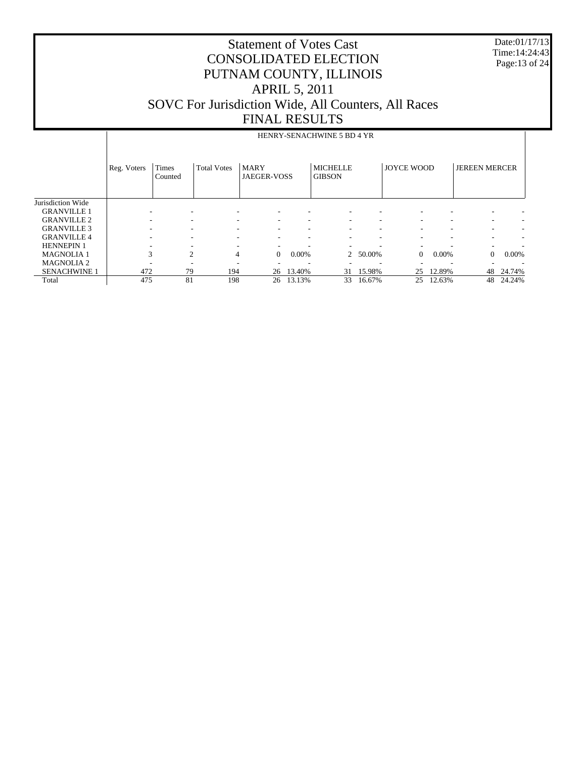Date:01/17/13 Time:14:24:43 Page:13 of 24

|                     | HENRY-SENACHWINE 5 BD 4 YR |                  |                    |                            |          |                                  |                          |                   |        |                      |        |  |  |
|---------------------|----------------------------|------------------|--------------------|----------------------------|----------|----------------------------------|--------------------------|-------------------|--------|----------------------|--------|--|--|
|                     | Reg. Voters                | Times<br>Counted | <b>Total Votes</b> | <b>MARY</b><br>JAEGER-VOSS |          | <b>MICHELLE</b><br><b>GIBSON</b> |                          | <b>JOYCE WOOD</b> |        | <b>JEREEN MERCER</b> |        |  |  |
| Jurisdiction Wide   |                            |                  |                    |                            |          |                                  |                          |                   |        |                      |        |  |  |
| <b>GRANVILLE 1</b>  |                            |                  |                    |                            |          |                                  |                          |                   |        |                      |        |  |  |
| <b>GRANVILLE 2</b>  |                            |                  |                    |                            |          |                                  | ۰                        |                   |        | ۰                    |        |  |  |
| <b>GRANVILLE 3</b>  |                            | ۰                |                    |                            |          |                                  | ۰                        |                   |        | ٠                    |        |  |  |
| <b>GRANVILLE 4</b>  |                            |                  |                    |                            |          |                                  | ٠                        |                   |        | ۰                    |        |  |  |
| <b>HENNEPIN 1</b>   |                            |                  |                    |                            |          |                                  | -                        |                   |        | ۰                    |        |  |  |
| <b>MAGNOLIA1</b>    | 3                          | 2                | $\overline{4}$     | $\Omega$                   | $0.00\%$ | $\overline{2}$                   | 50.00%                   | $\Omega$          | 0.00%  | $\Omega$             | 0.00%  |  |  |
| <b>MAGNOLIA 2</b>   |                            |                  |                    |                            |          |                                  | $\overline{\phantom{a}}$ |                   |        |                      |        |  |  |
| <b>SENACHWINE 1</b> | 472                        | 79               | 194                | 26                         | 13.40%   | 31                               | 15.98%                   | 25                | 12.89% | 48                   | 24.74% |  |  |
| Total               | 475                        | 81               | 198                | 26                         | 13.13%   | 33                               | 16.67%                   | 25                | 12.63% | 48                   | 24.24% |  |  |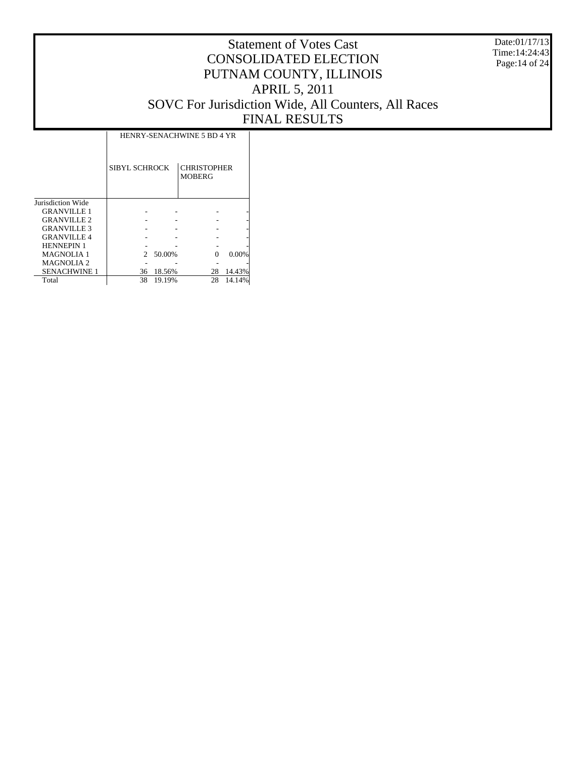Date:01/17/13 Time:14:24:43 Page:14 of 24

|                     | HENRY-SENACHWINE 5 BD 4 YR  |        |                                     |        |  |  |  |  |  |  |  |
|---------------------|-----------------------------|--------|-------------------------------------|--------|--|--|--|--|--|--|--|
|                     | SIBYL SCHROCK               |        | <b>CHRISTOPHER</b><br><b>MOBERG</b> |        |  |  |  |  |  |  |  |
| Jurisdiction Wide   |                             |        |                                     |        |  |  |  |  |  |  |  |
| <b>GRANVILLE 1</b>  |                             |        |                                     |        |  |  |  |  |  |  |  |
| <b>GRANVILLE 2</b>  |                             |        |                                     |        |  |  |  |  |  |  |  |
| <b>GRANVILLE 3</b>  |                             |        |                                     |        |  |  |  |  |  |  |  |
| <b>GRANVILLE4</b>   |                             |        |                                     |        |  |  |  |  |  |  |  |
| <b>HENNEPIN 1</b>   |                             |        |                                     |        |  |  |  |  |  |  |  |
| <b>MAGNOLIA1</b>    | $\mathcal{D}_{\mathcal{L}}$ | 50.00% | Ω                                   | 0.00%  |  |  |  |  |  |  |  |
| <b>MAGNOLIA 2</b>   |                             |        |                                     |        |  |  |  |  |  |  |  |
| <b>SENACHWINE 1</b> | 36                          | 18.56% | 28                                  | 14.43% |  |  |  |  |  |  |  |
| Total               | 38                          | 19.19% | 28                                  | 14.14% |  |  |  |  |  |  |  |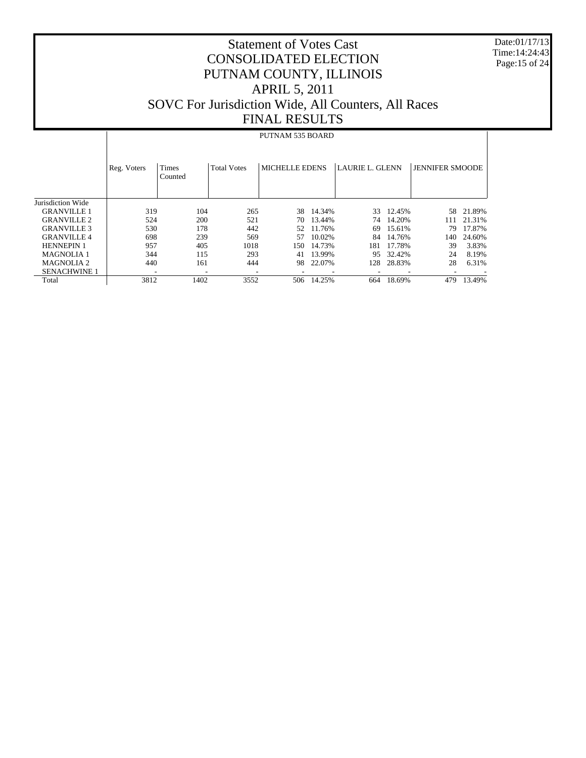Date:01/17/13 Time:14:24:43 Page:15 of 24

# Statement of Votes Cast CONSOLIDATED ELECTION PUTNAM COUNTY, ILLINOIS APRIL 5, 2011 SOVC For Jurisdiction Wide, All Counters, All Races FINAL RESULTS

#### PUTNAM 535 BOARD

|                       | Reg. Voters              | <b>Times</b><br>Counted | <b>Total Votes</b> | MICHELLE EDENS |           | <b>LAURIE L. GLENN</b> |        | <b>JENNIFER SMOODE</b> |        |
|-----------------------|--------------------------|-------------------------|--------------------|----------------|-----------|------------------------|--------|------------------------|--------|
| Jurisdiction Wide     |                          |                         |                    |                |           |                        |        |                        |        |
| <b>GRANVILLE 1</b>    | 319                      | 104                     | 265                |                | 38 14.34% | 33                     | 12.45% | 58                     | 21.89% |
| <b>GRANVILLE 2</b>    | 524                      | 200                     | 521                | 70             | 13.44%    | 74                     | 14.20% | 111                    | 21.31% |
| <b>GRANVILLE 3</b>    | 530                      | 178                     | 442                | 52             | 11.76%    | 69                     | 15.61% | 79                     | 17.87% |
| <b>GRANVILLE 4</b>    | 698                      | 239                     | 569                | 57             | 10.02%    | 84                     | 14.76% | 140                    | 24.60% |
| <b>HENNEPIN 1</b>     | 957                      | 405                     | 1018               | 150.           | 14.73%    | 181                    | 17.78% | 39                     | 3.83%  |
| <b>MAGNOLIA 1</b>     | 344                      | 115                     | 293                | 41             | 13.99%    | 95                     | 32.42% | 24                     | 8.19%  |
| MAGNOLIA <sub>2</sub> | 440                      | 161                     | 444                | 98             | 22.07%    | 128                    | 28.83% | 28                     | 6.31%  |
| <b>SENACHWINE 1</b>   | $\overline{\phantom{a}}$ | ۰                       |                    |                |           |                        |        |                        |        |
| Total                 | 3812                     | 1402                    | 3552               | 506            | 14.25%    | 664                    | 18.69% | 479                    | 13.49% |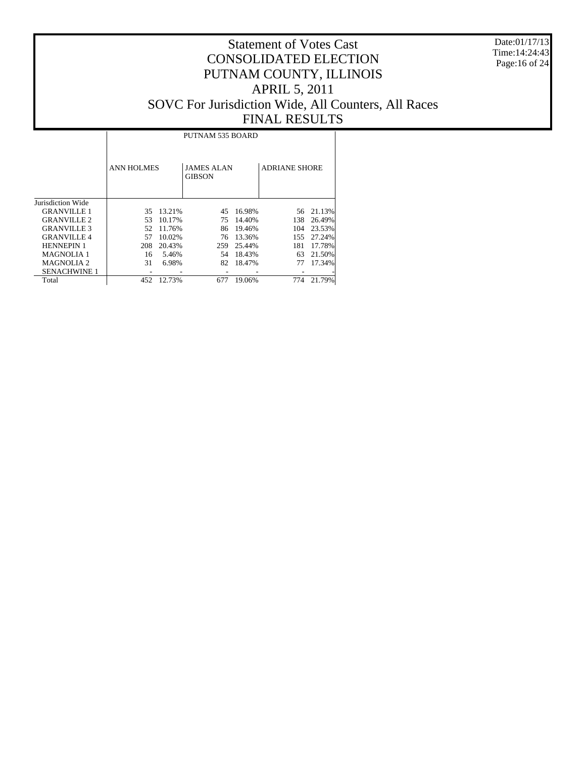Date:01/17/13 Time:14:24:43 Page:16 of 24

# Statement of Votes Cast CONSOLIDATED ELECTION PUTNAM COUNTY, ILLINOIS APRIL 5, 2011 SOVC For Jurisdiction Wide, All Counters, All Races FINAL RESULTS

т

|                     |                   | PUTNAM 535 BOARD |                                    |        |                      |        |  |  |  |  |  |  |  |
|---------------------|-------------------|------------------|------------------------------------|--------|----------------------|--------|--|--|--|--|--|--|--|
|                     | <b>ANN HOLMES</b> |                  | <b>JAMES ALAN</b><br><b>GIBSON</b> |        | <b>ADRIANE SHORE</b> |        |  |  |  |  |  |  |  |
| Jurisdiction Wide   |                   |                  |                                    |        |                      |        |  |  |  |  |  |  |  |
| <b>GRANVILLE 1</b>  | 35                | 13.21%           | 45                                 | 16.98% | 56                   | 21.13% |  |  |  |  |  |  |  |
| <b>GRANVILLE 2</b>  | 53                | 10.17%           | 75                                 | 14.40% | 138                  | 26.49% |  |  |  |  |  |  |  |
| <b>GRANVILLE 3</b>  | 52                | 11.76%           | 86                                 | 19.46% | 104                  | 23.53% |  |  |  |  |  |  |  |
| <b>GRANVILLE 4</b>  | 57                | 10.02%           | 76                                 | 13.36% | 155                  | 27.24% |  |  |  |  |  |  |  |
| <b>HENNEPIN 1</b>   | 208               | 20.43%           | 259                                | 25.44% | 181                  | 17.78% |  |  |  |  |  |  |  |
| <b>MAGNOLIA 1</b>   | 16                | 5.46%            | 54                                 | 18.43% | 63                   | 21.50% |  |  |  |  |  |  |  |
| MAGNOLIA 2          | 31                | 6.98%            | 82                                 | 18.47% | 77                   | 17.34% |  |  |  |  |  |  |  |
| <b>SENACHWINE 1</b> |                   |                  |                                    |        |                      |        |  |  |  |  |  |  |  |
| Total               | 452               | 12.73%           | 677                                | 19.06% | 774                  | 21.79% |  |  |  |  |  |  |  |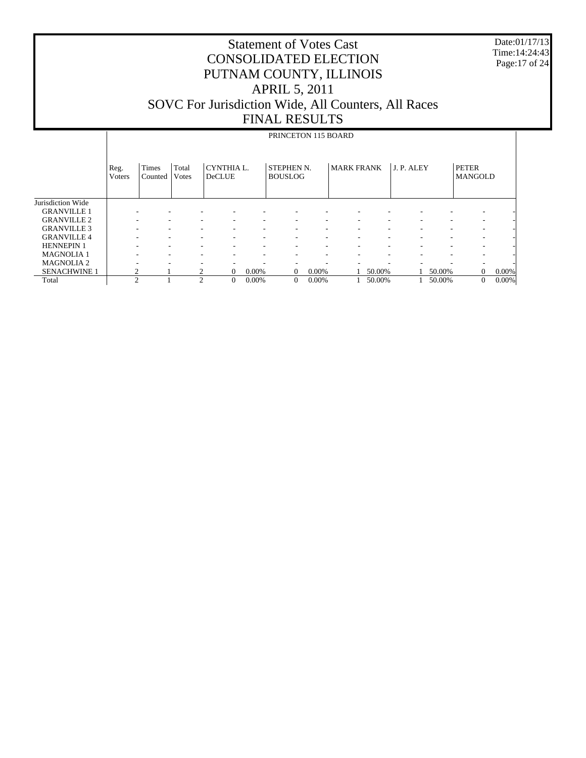Date:01/17/13 Time:14:24:43 Page:17 of 24

|                     |                | PRINCETON 115 BOARD |                |                             |       |                                     |       |                   |        |            |        |                                |       |  |
|---------------------|----------------|---------------------|----------------|-----------------------------|-------|-------------------------------------|-------|-------------------|--------|------------|--------|--------------------------------|-------|--|
|                     | Reg.<br>Voters | Times<br>Counted    | Total<br>Votes | CYNTHIA L.<br><b>DeCLUE</b> |       | <b>STEPHEN N.</b><br><b>BOUSLOG</b> |       | <b>MARK FRANK</b> |        | J. P. ALEY |        | <b>PETER</b><br><b>MANGOLD</b> |       |  |
| Jurisdiction Wide   |                |                     |                |                             |       |                                     |       |                   |        |            |        |                                |       |  |
| <b>GRANVILLE 1</b>  |                |                     |                |                             |       |                                     |       |                   |        |            |        | ۰                              |       |  |
| <b>GRANVILLE 2</b>  |                |                     |                |                             | ۰     | ۰                                   |       |                   |        |            |        | ۰                              |       |  |
| <b>GRANVILLE 3</b>  |                |                     |                |                             | ۰     | ۰                                   |       |                   |        |            | ۰      | ۰                              |       |  |
| <b>GRANVILLE4</b>   |                |                     |                |                             | ۰     | ٠                                   | ٠     | ۰                 | ۰      | ۰          | ۰      | ٠                              |       |  |
| <b>HENNEPIN 1</b>   |                |                     |                |                             | ۰     | ٠                                   | ۰     | ۰                 | ۰      | ۰          | ٠      | ٠                              |       |  |
| <b>MAGNOLIA1</b>    |                |                     |                |                             | ۰     | ۰                                   | ۰     |                   | ۰      |            | ۰      | ۰                              |       |  |
| <b>MAGNOLIA2</b>    |                | ۰                   |                |                             | ۰     | ۰                                   |       |                   |        |            | ۰      | ٠                              |       |  |
| <b>SENACHWINE 1</b> | ∍              |                     |                | $\Omega$                    | 0.00% | $\Omega$                            | 0.00% |                   | 50.00% |            | 50.00% | $\Omega$                       | 0.00% |  |
| Total               | $\overline{c}$ |                     | $\overline{c}$ | $\overline{0}$              | 0.00% | $\mathbf{0}$                        | 0.00% |                   | 50.00% |            | 50.00% | $\mathbf{0}$                   | 0.00% |  |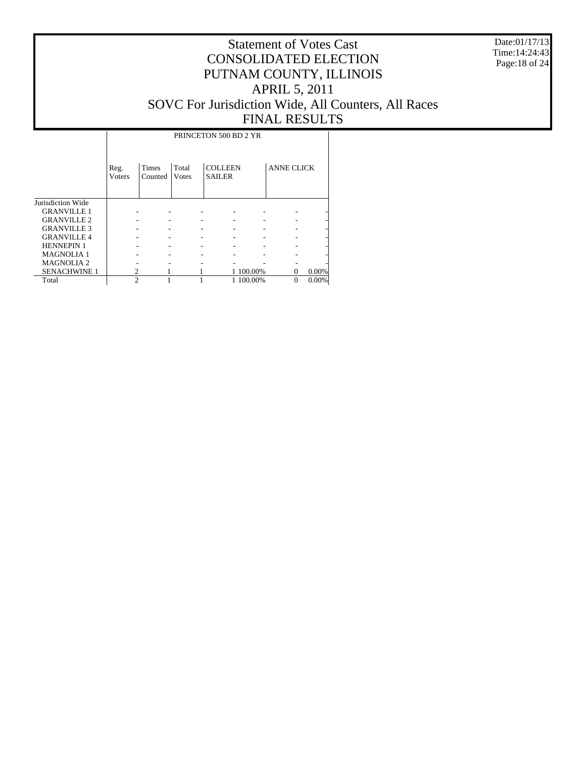Date:01/17/13 Time:14:24:43 Page:18 of 24

|                     |                | PRINCETON 500 BD 2 YR |                |                                 |           |                   |       |  |  |  |  |  |  |
|---------------------|----------------|-----------------------|----------------|---------------------------------|-----------|-------------------|-------|--|--|--|--|--|--|
|                     | Reg.<br>Voters | Times<br>Counted      | Total<br>Votes | <b>COLLEEN</b><br><b>SAILER</b> |           | <b>ANNE CLICK</b> |       |  |  |  |  |  |  |
| Jurisdiction Wide   |                |                       |                |                                 |           |                   |       |  |  |  |  |  |  |
| <b>GRANVILLE 1</b>  |                |                       |                |                                 |           |                   |       |  |  |  |  |  |  |
| <b>GRANVILLE 2</b>  |                |                       |                |                                 |           |                   |       |  |  |  |  |  |  |
| <b>GRANVILLE 3</b>  |                |                       |                |                                 |           |                   |       |  |  |  |  |  |  |
| <b>GRANVILLE 4</b>  |                |                       |                |                                 |           |                   |       |  |  |  |  |  |  |
| <b>HENNEPIN 1</b>   |                |                       |                |                                 |           |                   |       |  |  |  |  |  |  |
| <b>MAGNOLIA1</b>    |                |                       |                |                                 |           |                   |       |  |  |  |  |  |  |
| <b>MAGNOLIA2</b>    |                |                       |                |                                 |           |                   |       |  |  |  |  |  |  |
| <b>SENACHWINE 1</b> |                |                       |                |                                 | 1 100.00% | 0                 | 0.00% |  |  |  |  |  |  |
| Total               | $\mathfrak{D}$ |                       |                |                                 | 1 100.00% | $\theta$          | 0.00% |  |  |  |  |  |  |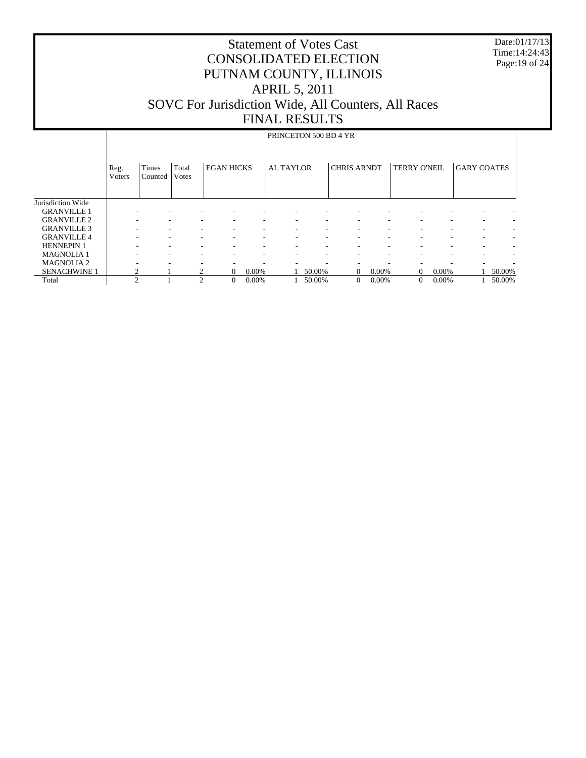Date:01/17/13 Time:14:24:43 Page:19 of 24

|                     | PRINCETON 500 BD 4 YR |                          |                |                   |          |                  |        |                    |       |                     |          |                    |        |
|---------------------|-----------------------|--------------------------|----------------|-------------------|----------|------------------|--------|--------------------|-------|---------------------|----------|--------------------|--------|
|                     |                       |                          |                |                   |          |                  |        |                    |       |                     |          |                    |        |
|                     | Reg.<br>Voters        | Times<br>Counted         | Total<br>Votes | <b>EGAN HICKS</b> |          | <b>AL TAYLOR</b> |        | <b>CHRIS ARNDT</b> |       | <b>TERRY O'NEIL</b> |          | <b>GARY COATES</b> |        |
| Jurisdiction Wide   |                       |                          |                |                   |          |                  |        |                    |       |                     |          |                    |        |
| <b>GRANVILLE 1</b>  |                       |                          |                |                   |          |                  |        |                    |       |                     |          |                    |        |
| <b>GRANVILLE 2</b>  |                       |                          |                |                   |          |                  |        |                    |       |                     |          |                    |        |
| <b>GRANVILLE 3</b>  |                       |                          |                | ۰.                | ٠        | ٠                | ۰.     |                    | ٠     | ٠                   |          |                    | ۰      |
| <b>GRANVILLE 4</b>  |                       |                          |                |                   | ۰        | ۰                | ۰      | ۰.                 | -     | ۰                   |          | ۰                  | ٠      |
| <b>HENNEPIN 1</b>   |                       |                          |                |                   | ۰        | ۰                | ۰.     | ۰.                 | -     | ۰.                  |          | ۰                  | ٠      |
| <b>MAGNOLIA1</b>    |                       | $\overline{\phantom{a}}$ |                | ۰.                | ۰        |                  | ۰      | ۰.                 | ۰.    | ۰                   | ۰        |                    | ۰      |
| <b>MAGNOLIA2</b>    |                       |                          |                |                   |          |                  |        |                    |       |                     |          |                    |        |
| <b>SENACHWINE 1</b> | 2                     |                          |                | $\theta$          | $0.00\%$ |                  | 50.00% | $\mathbf{0}$       | 0.00% | $\mathbf{0}$        | $0.00\%$ |                    | 50.00% |
| Total               | $\overline{c}$        |                          | $\mathfrak{D}$ | $\theta$          | 0.00%    |                  | 50.00% | $\boldsymbol{0}$   | 0.00% | $\mathbf{0}$        | 0.00%    |                    | 50.00% |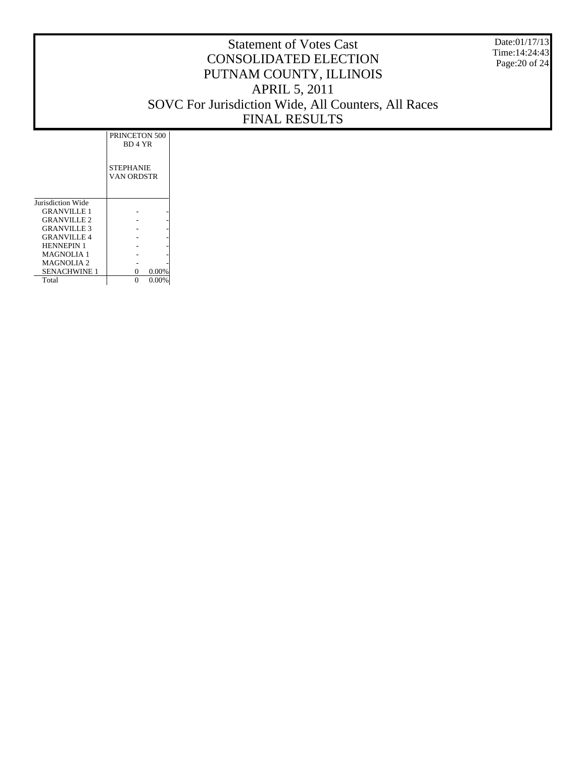Date:01/17/13 Time:14:24:43 Page:20 of 24

|                     | PRINCETON 500                  |
|---------------------|--------------------------------|
|                     | BD 4 YR                        |
|                     | <b>STEPHANIE</b><br>VAN ORDSTR |
| Jurisdiction Wide   |                                |
| <b>GRANVILLE 1</b>  |                                |
| <b>GRANVILLE 2</b>  |                                |
| <b>GRANVILLE 3</b>  |                                |
| <b>GRANVILLE 4</b>  |                                |
| <b>HENNEPIN 1</b>   |                                |
| <b>MAGNOLIA 1</b>   |                                |
| <b>MAGNOLIA 2</b>   |                                |
| <b>SENACHWINE 1</b> | $0.00\%$<br>0                  |
| Total               | $0.00\%$                       |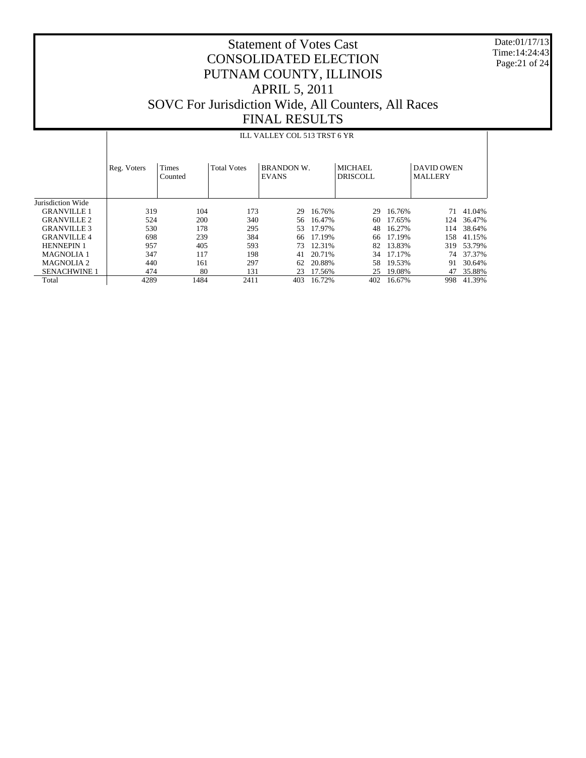Date:01/17/13 Time:14:24:43 Page:21 of 24

# Statement of Votes Cast CONSOLIDATED ELECTION PUTNAM COUNTY, ILLINOIS APRIL 5, 2011 SOVC For Jurisdiction Wide, All Counters, All Races FINAL RESULTS

#### ILL VALLEY COL 513 TRST 6 YR

|                     | Reg. Voters | <b>Times</b><br>Counted | <b>Total Votes</b> | <b>BRANDON W.</b><br><b>EVANS</b> |        | <b>MICHAEL</b><br><b>DRISCOLL</b> |        | <b>DAVID OWEN</b><br><b>MALLERY</b> |        |
|---------------------|-------------|-------------------------|--------------------|-----------------------------------|--------|-----------------------------------|--------|-------------------------------------|--------|
| Jurisdiction Wide   |             |                         |                    |                                   |        |                                   |        |                                     |        |
| <b>GRANVILLE 1</b>  | 319         | 104                     | 173                | 29                                | 16.76% | 29                                | 16.76% | 71                                  | 41.04% |
| <b>GRANVILLE 2</b>  | 524         | 200                     | 340                | 56                                | 16.47% | 60                                | 17.65% | 124                                 | 36.47% |
| <b>GRANVILLE 3</b>  | 530         | 178                     | 295                | 53.                               | 17.97% | 48                                | 16.27% | 114                                 | 38.64% |
| <b>GRANVILLE4</b>   | 698         | 239                     | 384                | 66                                | 17.19% | 66                                | 17.19% | 158                                 | 41.15% |
| <b>HENNEPIN 1</b>   | 957         | 405                     | 593                | 73                                | 12.31% | 82                                | 13.83% | 319                                 | 53.79% |
| <b>MAGNOLIA 1</b>   | 347         | 117                     | 198                | 41                                | 20.71% | 34                                | 17.17% | 74                                  | 37.37% |
| <b>MAGNOLIA 2</b>   | 440         | 161                     | 297                | 62                                | 20.88% | 58                                | 19.53% | 91                                  | 30.64% |
| <b>SENACHWINE 1</b> | 474         | 80                      | 131                | 23                                | 17.56% | 25                                | 19.08% | 47                                  | 35.88% |
| Total               | 4289        | 1484                    | 2411               | 403                               | 16.72% | 402                               | 16.67% | 998                                 | 41.39% |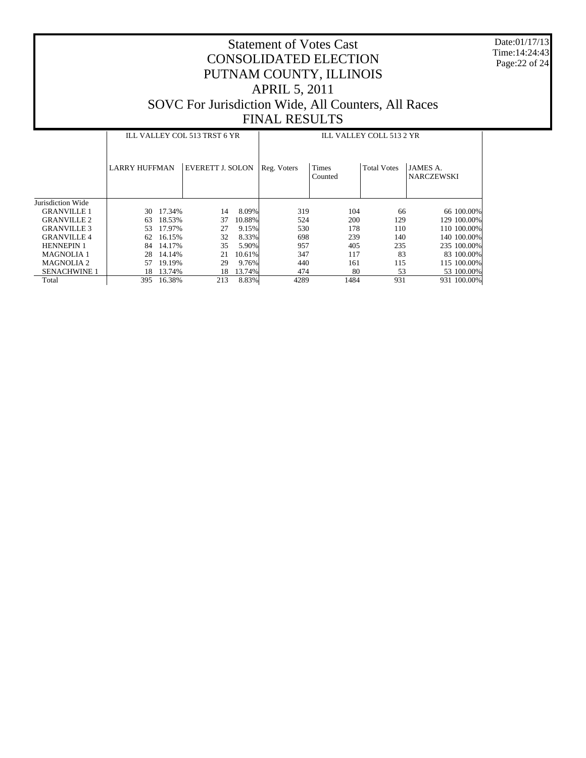Date:01/17/13 Time:14:24:43 Page:22 of 24

|                     |                      |        | ILL VALLEY COL 513 TRST 6 YR |        | ILL VALLEY COLL 513 2 YR |                         |                    |                                      |  |  |  |
|---------------------|----------------------|--------|------------------------------|--------|--------------------------|-------------------------|--------------------|--------------------------------------|--|--|--|
|                     | <b>LARRY HUFFMAN</b> |        | <b>EVERETT J. SOLON</b>      |        | Reg. Voters              | <b>Times</b><br>Counted | <b>Total Votes</b> | <b>JAMES A.</b><br><b>NARCZEWSKI</b> |  |  |  |
| Jurisdiction Wide   |                      |        |                              |        |                          |                         |                    |                                      |  |  |  |
| <b>GRANVILLE 1</b>  | 30                   | 17.34% | 14                           | 8.09%  | 319                      | 104                     | 66                 | 66 100.00%                           |  |  |  |
| <b>GRANVILLE 2</b>  | 63                   | 18.53% | 37                           | 10.88% | 524                      | 200                     | 129                | 129 100.00%                          |  |  |  |
| <b>GRANVILLE 3</b>  | 53                   | 17.97% | 27                           | 9.15%  | 530                      | 178                     | 110                | 110 100.00%                          |  |  |  |
| <b>GRANVILLE4</b>   | 62                   | 16.15% | 32                           | 8.33%  | 698                      | 239                     | 140                | 140 100.00%                          |  |  |  |
| <b>HENNEPIN 1</b>   | 84                   | 14.17% | 35                           | 5.90%  | 957                      | 405                     | 235                | 235 100.00%                          |  |  |  |
| <b>MAGNOLIA 1</b>   | 28                   | 14.14% | 21                           | 10.61% | 347                      | 117                     | 83                 | 83 100,00%                           |  |  |  |
| <b>MAGNOLIA 2</b>   | 57                   | 19.19% | 29                           | 9.76%  | 440                      | 161                     | 115                | 115 100.00%                          |  |  |  |
| <b>SENACHWINE 1</b> | 18                   | 13.74% | 18                           | 13.74% | 474                      | 80                      | 53                 | 53 100.00%                           |  |  |  |
| Total               | 395                  | 16.38% | 213                          | 8.83%  | 4289                     | 1484                    | 931                | 931 100.00%                          |  |  |  |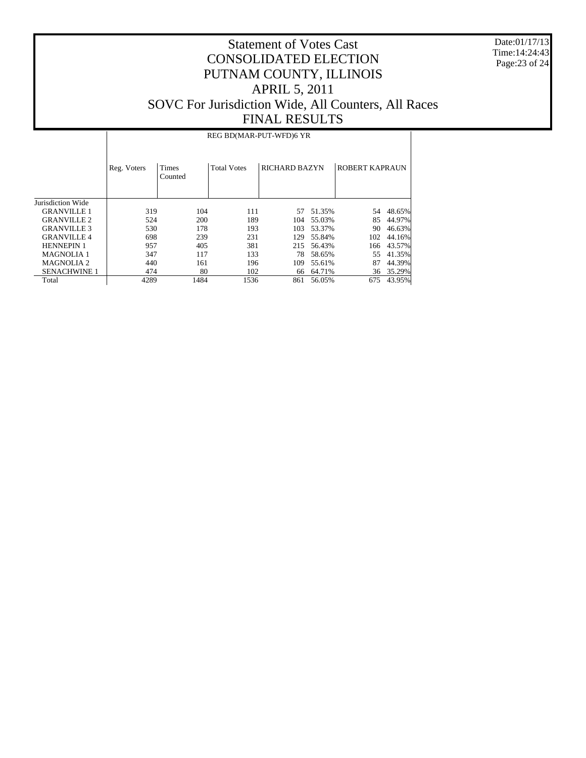Date:01/17/13 Time:14:24:43 Page:23 of 24

#### Statement of Votes Cast CONSOLIDATED ELECTION PUTNAM COUNTY, ILLINOIS APRIL 5, 2011 SOVC For Jurisdiction Wide, All Counters, All Races FINAL RESULTS

Jurisdiction Wide GRANVILLE 1 GRANVILLE 2 GRANVILLE 3 GRANVILLE 4 HENNEPIN 1 MAGNOLIA 1 MAGNOLIA 2 SENACHWINE 1 Total Reg. Voters | Times Counted Total Votes | RICHARD BAZYN | ROBERT KAPRAUN REG BD(MAR-PUT-WFD)6 YR 319 104 111 57 51.35% 54 48.65%<br>524 200 189 104 55.03% 85 44.97% 524 200 189 104 55.03% 85 44.97% 530 178 193 103 53.37% 90 46.63% 698 239 231 129 55.84% 102 44.16% 215 56.43% 166 43.57%<br>78 58.65% 55 41.35% 347 117 133 78 58.65% 55 41.35%<br>440 161 196 109 55.61% 87 44.39% 410 161 196 109 55.61% 87 44.39%<br>474 80 102 66 64.71% 36 35.29% 474 80 102 66 64.71% 36 35.29%<br>4289 1484 1536 861 56.05% 675 43.95% 861 56.05%